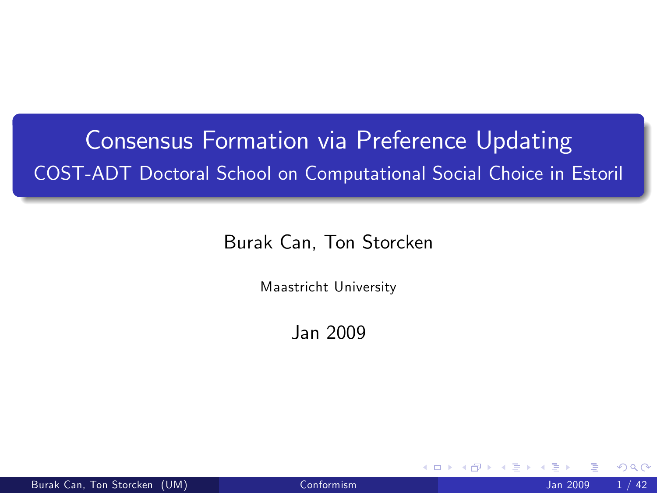## Consensus Formation via Preference Updating COST-ADT Doctoral School on Computational Social Choice in Estoril

Burak Can, Ton Storcken

Maastricht University

Jan 2009

 $\leftarrow$ 

<span id="page-0-0"></span> $\Omega$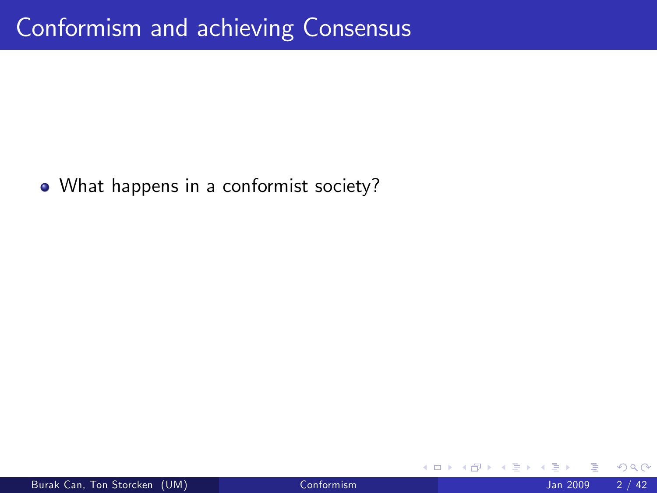What happens in a conformist society?

4 0 8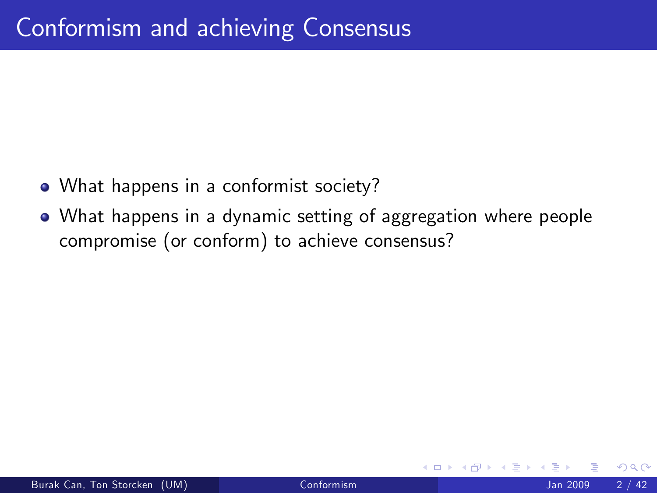- What happens in a conformist society?
- What happens in a dynamic setting of aggregation where people compromise (or conform) to achieve consensus?

つひひ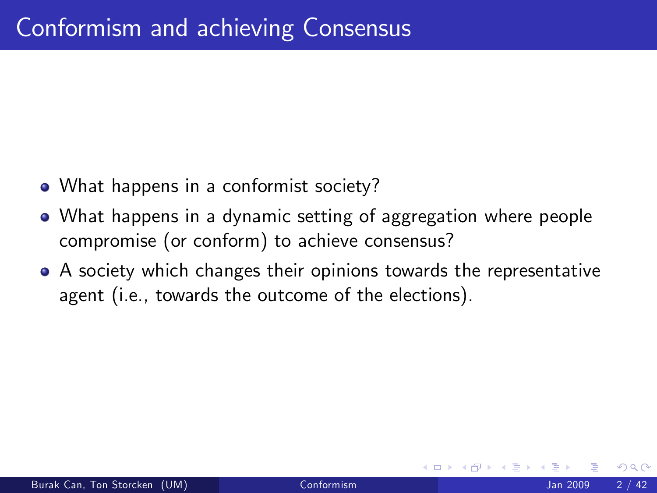- What happens in a conformist society?
- What happens in a dynamic setting of aggregation where people compromise (or conform) to achieve consensus?
- A society which changes their opinions towards the representative agent (i.e., towards the outcome of the elections).

 $\Omega$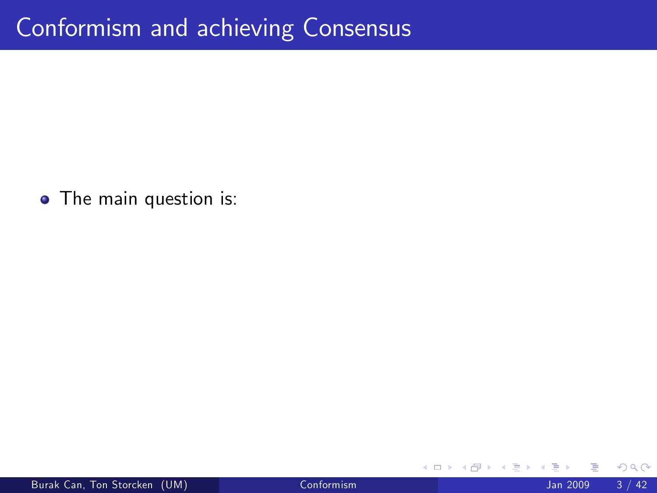• The main question is:

4 D F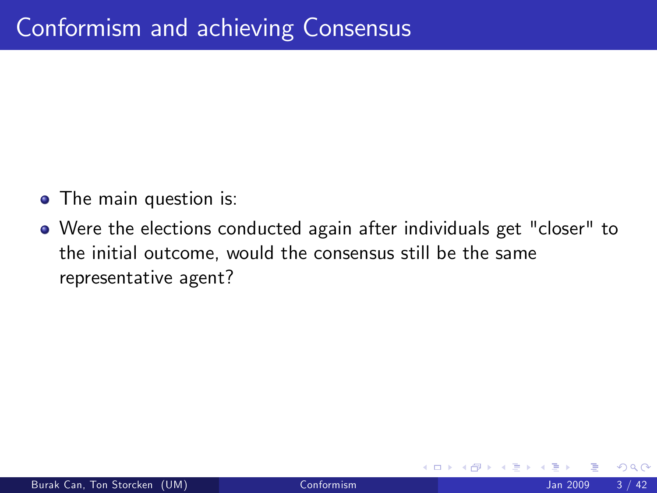- The main question is:
- Were the elections conducted again after individuals get "closer" to the initial outcome, would the consensus still be the same representative agent?

 $\Omega$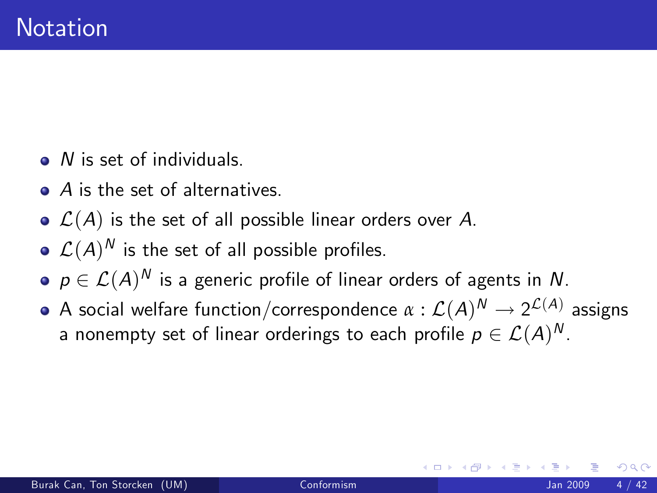- N is set of individuals.
- A is the set of alternatives.
- $\bullet$   $\mathcal{L}(A)$  is the set of all possible linear orders over A.
- $\mathcal{L}(\mathcal{A})^{\mathcal{N}}$  is the set of all possible profiles.
- $p \in \mathcal{L}(A)^N$  is a generic profile of linear orders of agents in  $N$ .
- A social welfare function/correspondence  $\alpha : \mathcal{L}(A)^{\mathcal{N}} \to 2^{\mathcal{L}(A)}$  assigns a nonempty set of linear orderings to each profile  $p \in \mathcal{L}(A)^N$ .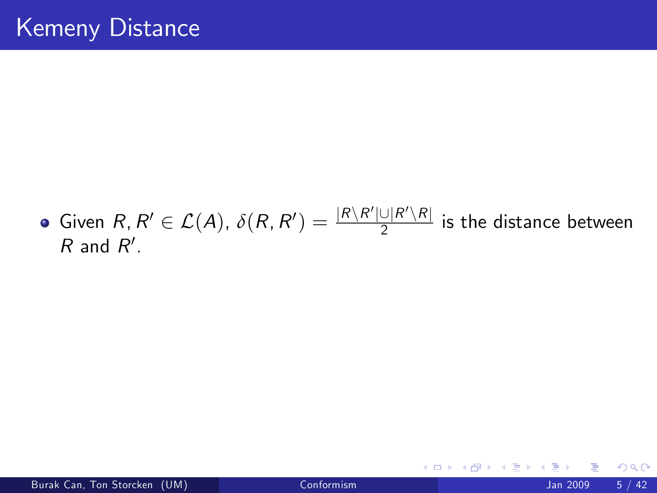Given  $R, R' \in \mathcal{L}(A)$ ,  $\delta(R, R') = \frac{|R \setminus R'|\cup |R' \setminus R|}{2}$  is the distance between  $R$  and  $R'$ .

4 0 8

**GRAN**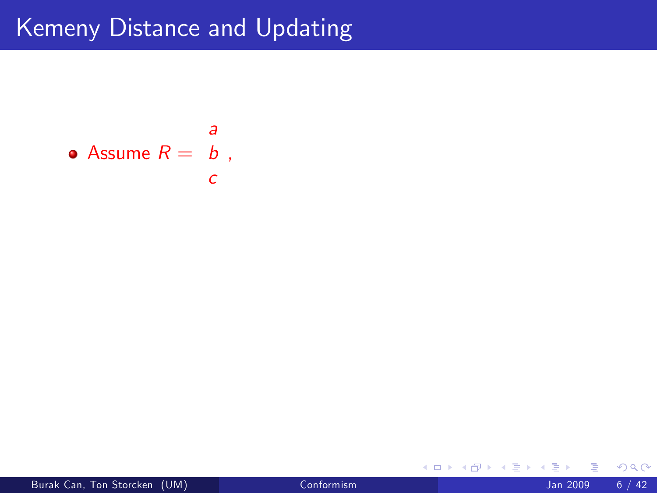• Assume 
$$
R = \begin{pmatrix} a \\ b \\ c \end{pmatrix}
$$
,

**K ロト K 倒 ト K 差 K**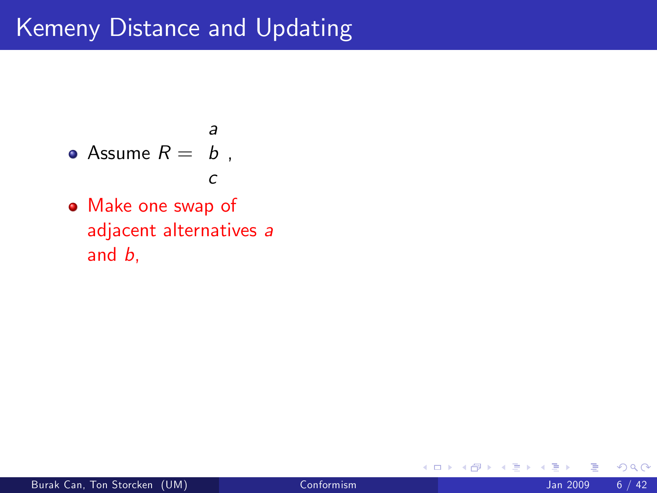• Assume 
$$
R = \begin{pmatrix} a \\ b \\ c \end{pmatrix}
$$
,

Make one swap of adjacent alternatives a and b,

4 D F

 $\rightarrow$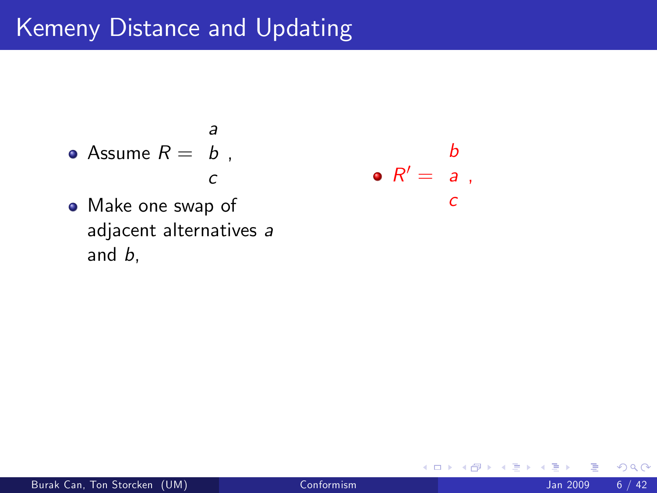## Kemeny Distance and Updating

• Assume 
$$
R = \begin{pmatrix} a \\ b \\ c \end{pmatrix}
$$
,

Make one swap of adjacent alternatives a and b,

$$
\bullet \ \mathsf{R}' = \begin{array}{c} b \\ a \\ c \end{array},
$$

4 0 8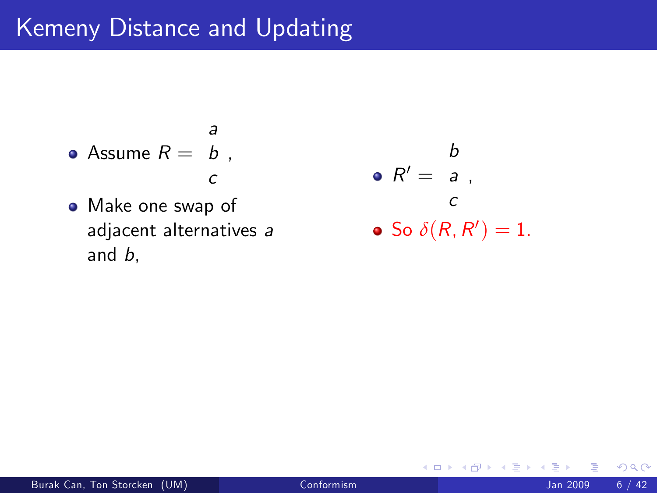## Kemeny Distance and Updating

• Assume 
$$
R = \begin{bmatrix} a \\ b \\ c \end{bmatrix}
$$

• Make one swap of adjacent alternatives a and b,

 $R' =$ b a , c So  $\delta(R,R')=1$ .

4 0 8

 $QQ$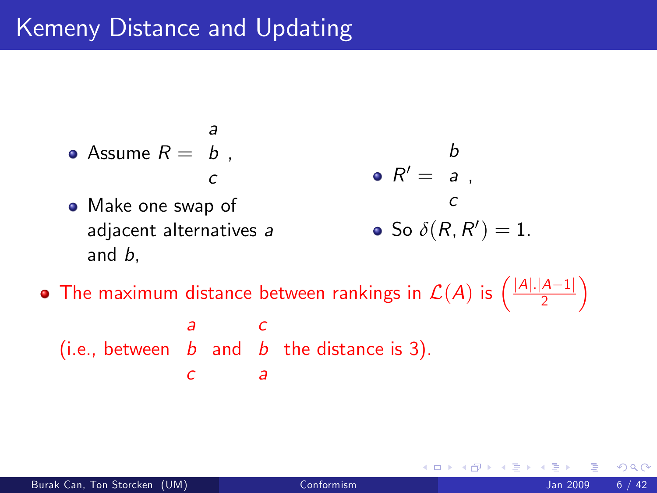\n- \n**a**\n
	\n- $$
	c
	$$
	\n- $R' = a$
	\n\n
\n- \n**b**\n
	\n- $c$
	\n- $R' = a$
	\n\n
\n- \n**c**\n
	\n- $R' = a$
	\n- $c$
	\n\n
\n- \n**a**\n
	\n- $b$
	\n- $c$
	\n\n
\n- \n**a**\n
	\n- $c$
	\n\n
\n- \n**b**\n
	\n- $R' = a$
	\n- $c$
	\n\n
\n- \n**a**\n
	\n- $c$
	\n\n
\n- \n**c**\n
	\n- $a$
	\n- $c$
	\n\n
\n- \n**b**\n
	\n- $A$
	\n- $B$
	\n- $B$
	\n\n
\n- \n**c**\n
	\n- $a$
	\n- $a$
	\n\n
\n- \n**c**\n
	\n- $a$
	\n\n
\n
\n\n

 $\bullet$ 

**∢ ロ ▶ イ 伊 ▶** 

 $\sim$  4. ミト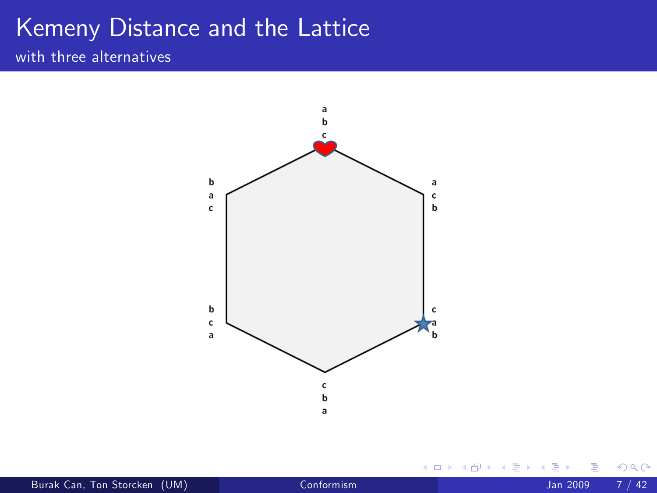with three alternatives



4 0 8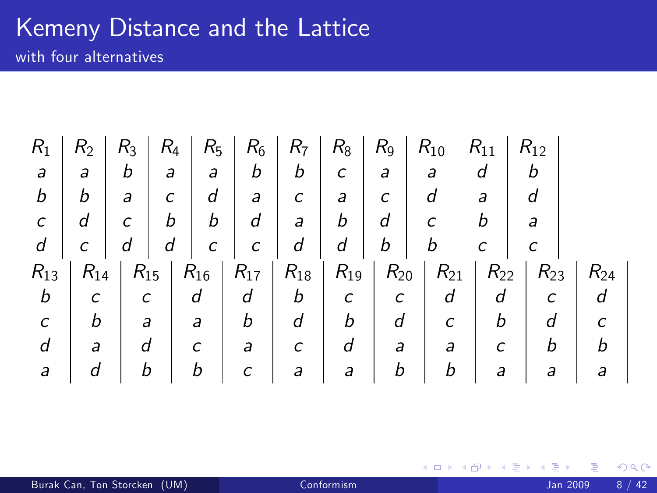with four alternatives

| $R_1$    | $R_{2}$  | $R_3$      | $R_4$ | $R_5$    | $R_6$            | $R_7$           | $R_8$    | Rg       | $(R_{10}$  | $R_{11}$ | $R_{12}$ |          |
|----------|----------|------------|-------|----------|------------------|-----------------|----------|----------|------------|----------|----------|----------|
| a        | a        | b          | a     | a        | b                | b               | с        | a        | a          | d        | b        |          |
| b        | b        | a          | C     | d        | a                | C               | a        | с        | d          | a        | d        |          |
| C        | d        | C          | b     | b        | d                | a               | b        | d        | $\epsilon$ | b        | a        |          |
| d        | C        | d          | d     | с        | $\boldsymbol{C}$ | d               | d        | b        | b          | с        | с        |          |
| $R_{13}$ | $R_{14}$ | $+ R_{15}$ |       | $R_{16}$ | $R_{17}$         | $R_\mathrm{18}$ | $R_{19}$ | $R_{20}$ | $(R_{21})$ | $R_{22}$ | $R_{23}$ | $R_{24}$ |
| b        | с        |            | с     | d        | d                | b               | с        | с        | d          | d        | C        | d        |
| с        | b        |            | a     | a        | b                | d               | b        | d        | C          | b        | d        | C        |
| d        | a        |            | d     | C        | a                | C               | d        | a        | a          | с        | b        | h        |
| а        | d        |            | b     | b        | с                | a               | a        | b        | b          | a        | a        | а        |

4 0 3 4

-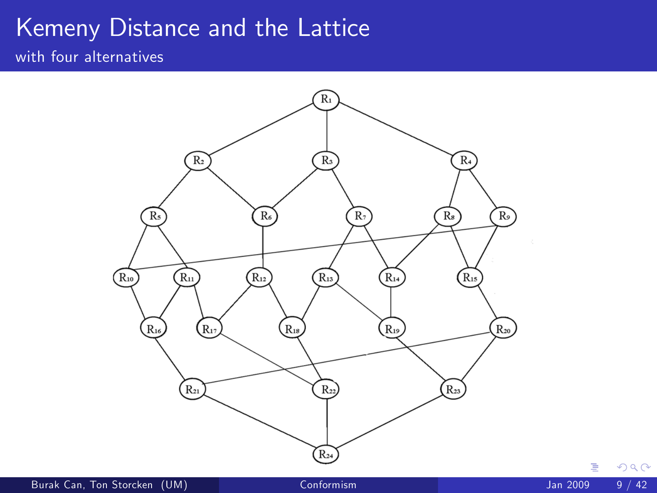with four alternatives

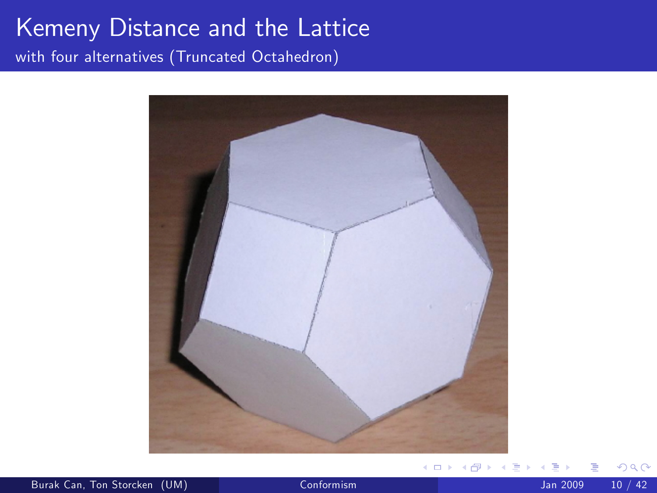with four alternatives (Truncated Octahedron)



Burak Can, Ton Storcken (UM) [Conformism](#page-0-0) Conformism Jan 2009 10 / 42

 $QQ$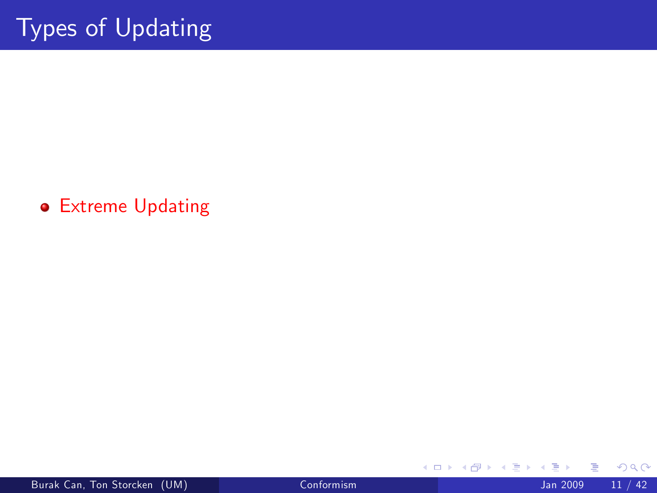**• Extreme Updating** 

 $\leftarrow$   $\Box$ 

 $\rightarrow$  $\rightarrow$ ミト -41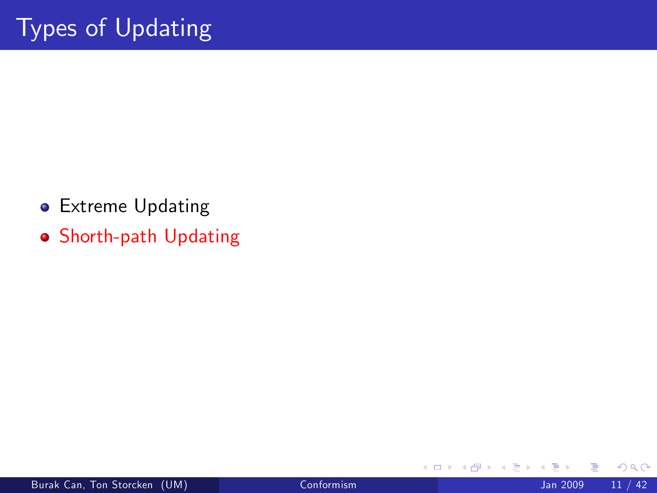- **•** Extreme Updating
- **Shorth-path Updating**

4 日下

 $\rightarrow$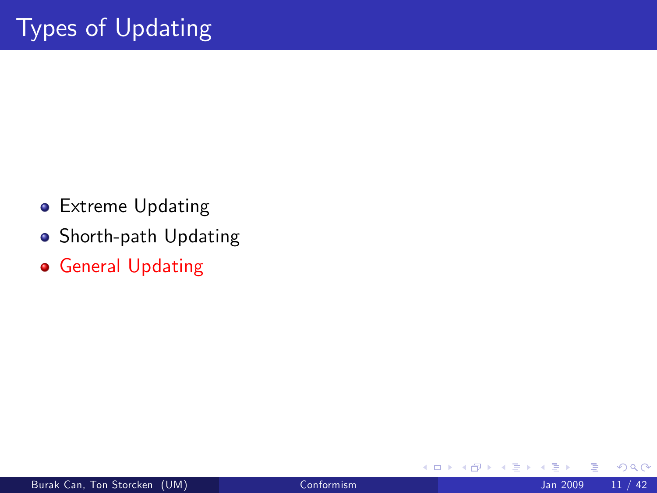- **•** Extreme Updating
- **Shorth-path Updating**
- **General Updating**

4 0 8

×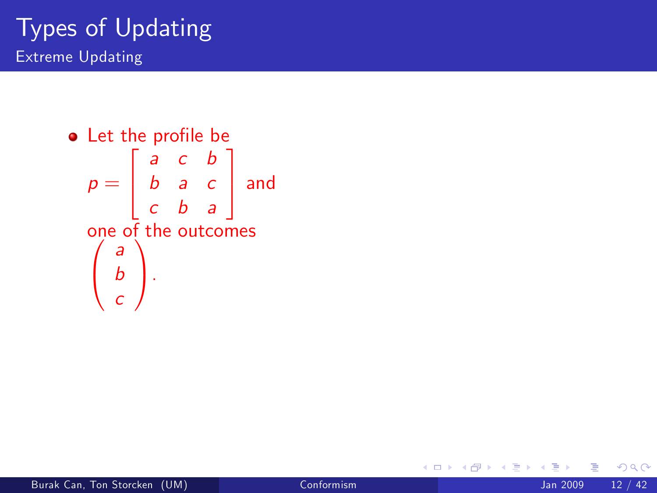#### Types of Updating Extreme Updating



4 0 8

ミメスミ

 $QQ$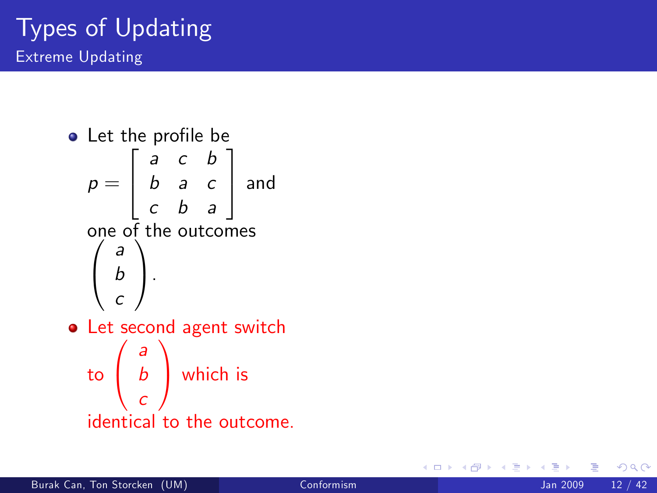#### Types of Updating Extreme Updating

 $\bullet$  Let the profile be  $p =$  $\sqrt{2}$ 4 a b c c a b b c a 3  $|$  and one of the outcomes  $\sqrt{ }$  $\mathbf{I}$ a b c 1  $\vert \cdot \vert$ • Let second agent switch to  $\sqrt{ }$  $\mathbf{I}$ a b c 1  $\vert$  which is identical to the outcome.

4 0 8

 $\Omega$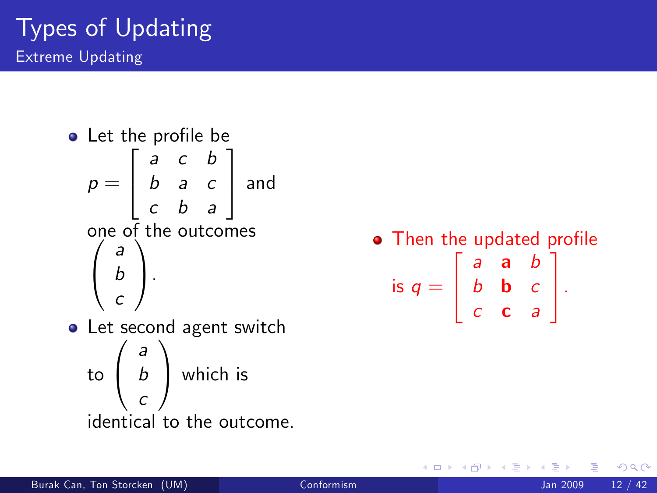#### Types of Updating Extreme Updating

• Let the profile be  $p =$  $\sqrt{2}$ 4 a b c c a b b c a 3  $|$  and one of the outcomes  $\sqrt{ }$  $\mathbf{I}$ a b c 1  $\vert \cdot \vert$ • Let second agent switch to  $\sqrt{ }$  $\overline{1}$ a b c 1  $\vert$  which is identical to the outcome.

• Then the updated profile is  $q =$  $\sqrt{2}$ 4 a b c a b c b c a 1  $\vert \cdot$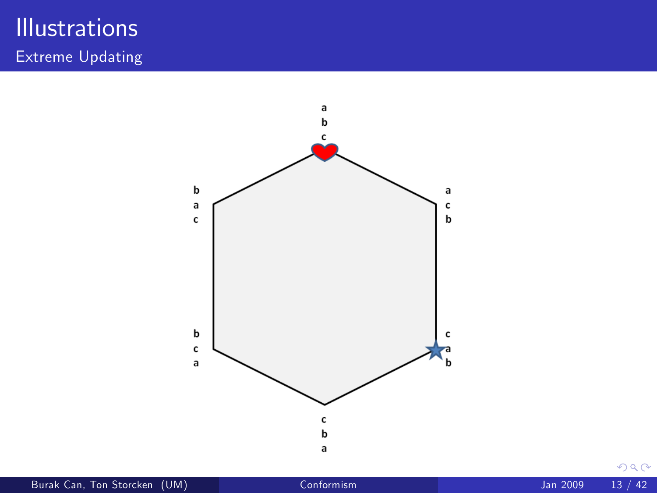#### **Illustrations** Extreme Updating

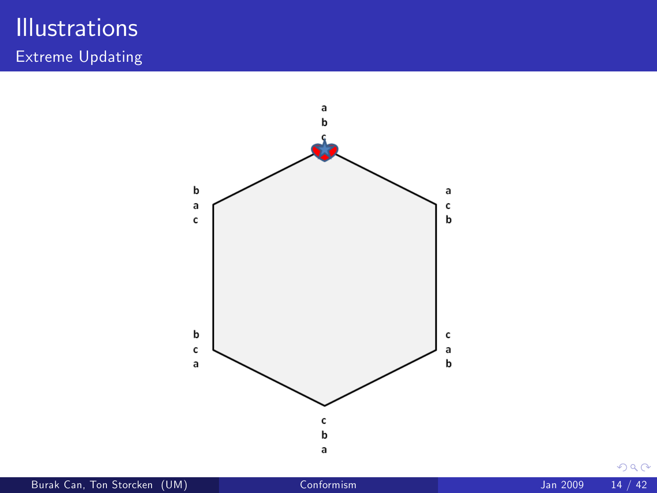#### **Illustrations** Extreme Updating

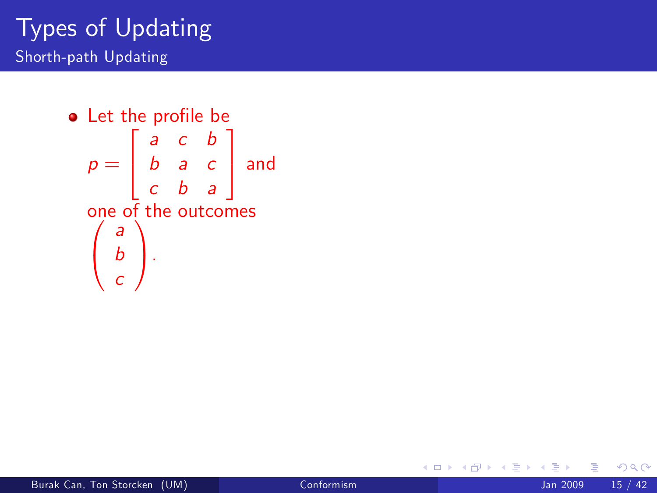#### Types of Updating Shorth-path Updating

```
• Let the profile be
 p =\sqrt{2}4
             a
             b
             c
                  c
                  a
                  b
                        b
                        c
                        a
                            1
                            \vert and
one of the outcomes
 \sqrt{ }\mathbf{I}a
      b
      c
          1
          \vert \cdot \vert
```
4 0 8

ミメスミ

 $QQ$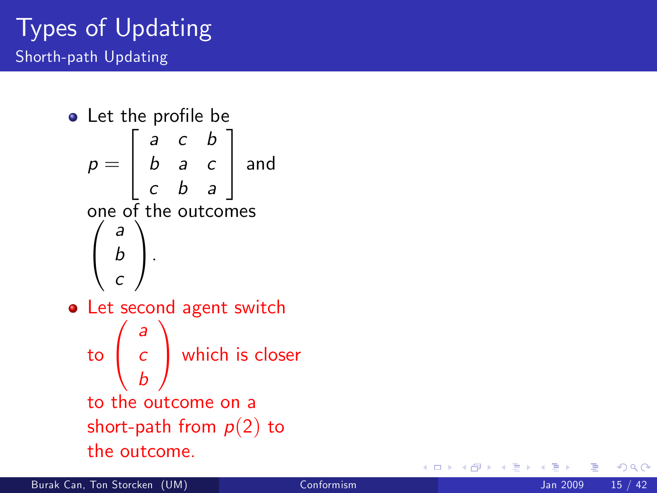#### Types of Updating Shorth-path Updating

 $\bullet$  Let the profile be  $p = \begin{vmatrix} a & c & b \\ b & a & c \\ c & b & a \end{vmatrix}$  and one of the outcomes<br> $\begin{pmatrix} a \\ b \end{pmatrix}$ . • Let second agent switch to  $\begin{pmatrix} a \\ c \end{pmatrix}$  which is closer a<br>C<br>b to the outcome on a short-path from  $\rho(2)$  to the outcome.

 $\Omega$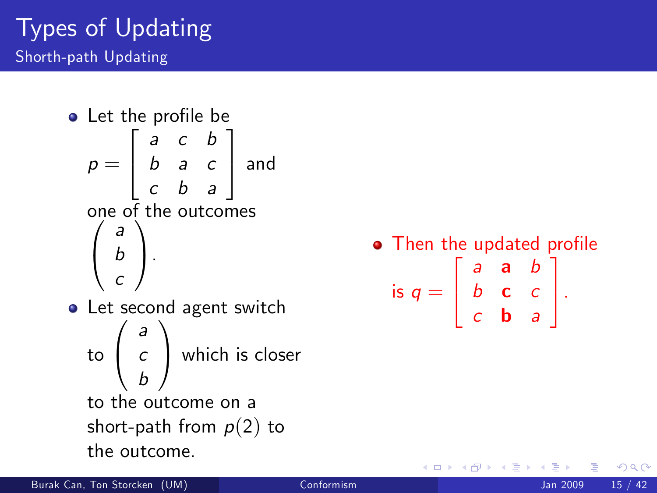#### Types of Updating Shorth-path Updating

 $\bullet$  Let the profile be  $p =$  $\sqrt{2}$ 4 a b c c a b b c a 1  $|$  and one of the outcomes  $\sqrt{ }$  $\mathbf{I}$ a b c 1  $\vert \cdot \vert$ • Let second agent switch to  $\sqrt{ }$  $\overline{1}$ a c b 1  $\vert$  which is closer to the outcome on a short-path from  $p(2)$  to the outcome.

• Then the updated profile is  $q =$  $\sqrt{2}$ 4 a b c a c b b c a 1  $\vert \cdot$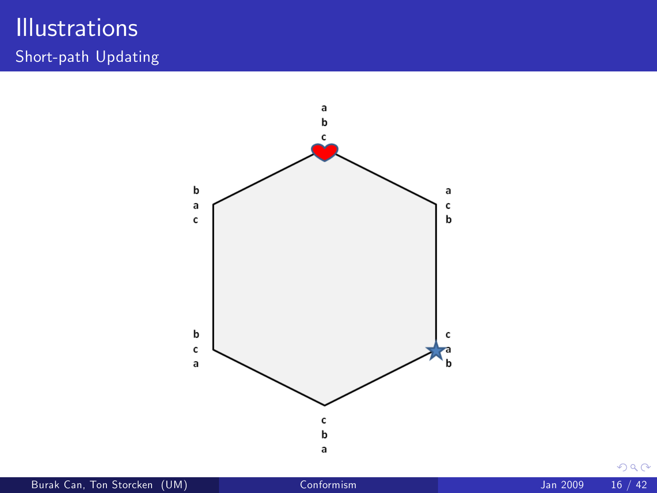#### **Illustrations** Short-path Updating

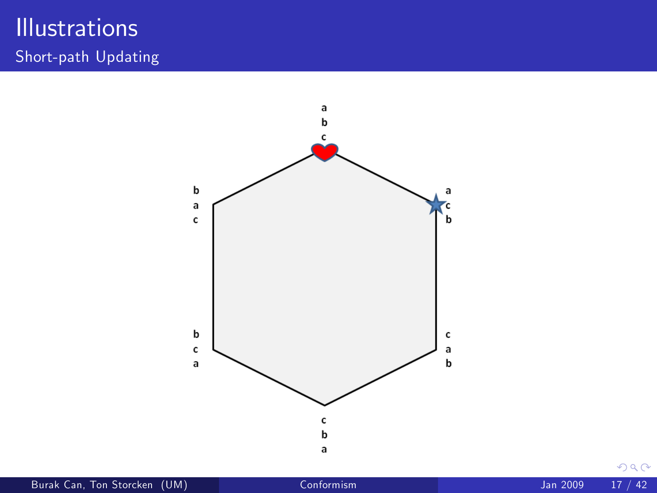#### **Illustrations** Short-path Updating

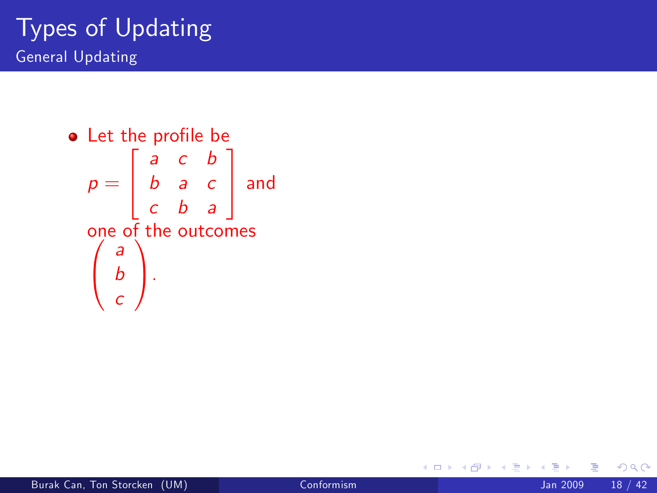#### Types of Updating General Updating



4 0 8

ミメスミ

 $QQ$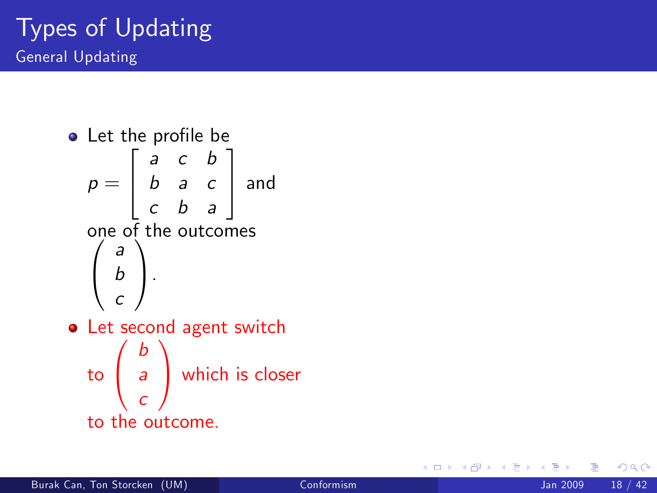#### Types of Updating General Updating

 $\bullet$  Let the profile be  $p =$  $\sqrt{2}$ 4 a b c c a b b c a 3  $|$  and one of the outcomes  $\sqrt{ }$  $\mathbf{I}$ a b c 1  $\vert \cdot \vert$ • Let second agent switch to  $\sqrt{ }$  $\mathbf{I}$ b a c 1  $\vert$  which is closer to the outcome.

4 0 8

∢∃ ⊳ ∢∃

 $\Omega$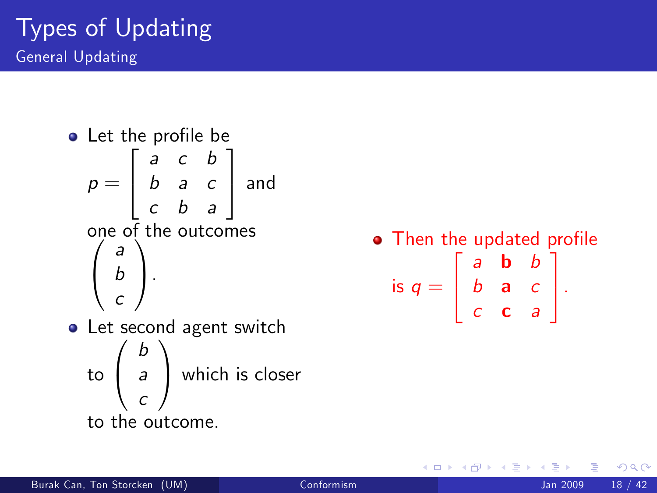#### Types of Updating General Updating

• Let the profile be  $p =$  $\sqrt{2}$ 4 a b c c a b b c a 3  $|$  and one of the outcomes  $\sqrt{ }$  $\mathbf{I}$ a b c 1  $\vert \cdot \vert$ • Let second agent switch to  $\sqrt{ }$  $\overline{1}$ b a c 1  $\vert$  which is closer to the outcome.

• Then the updated profile is  $q =$  $\sqrt{2}$ 4 a b c b a c b c a 1  $\vert \cdot$ 

4 何 ト 4 ヨ ト 4 ヨ ト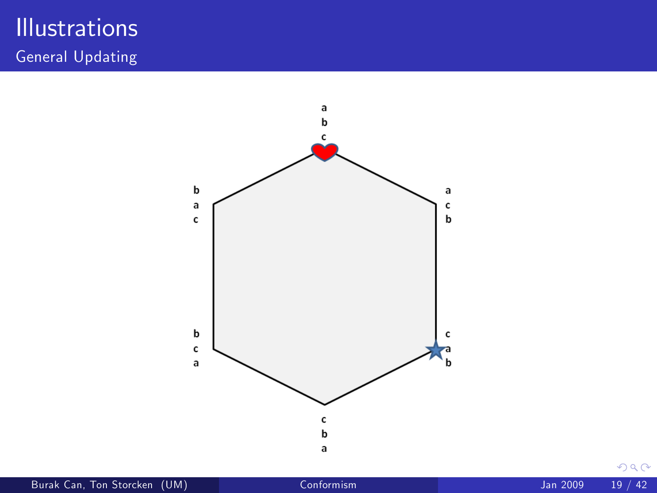#### **Illustrations** General Updating

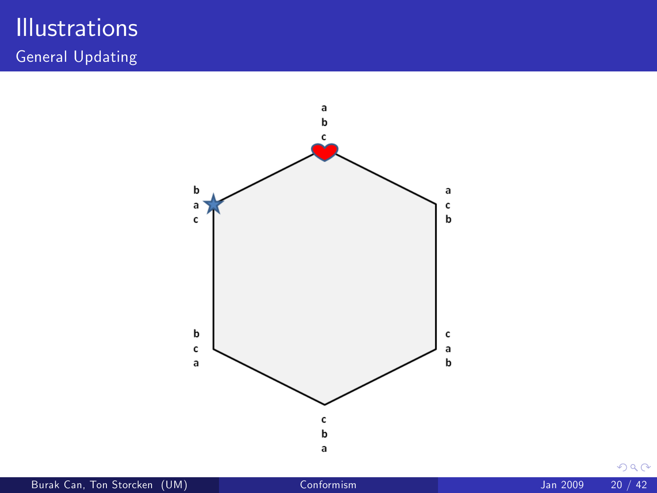#### **Illustrations** General Updating

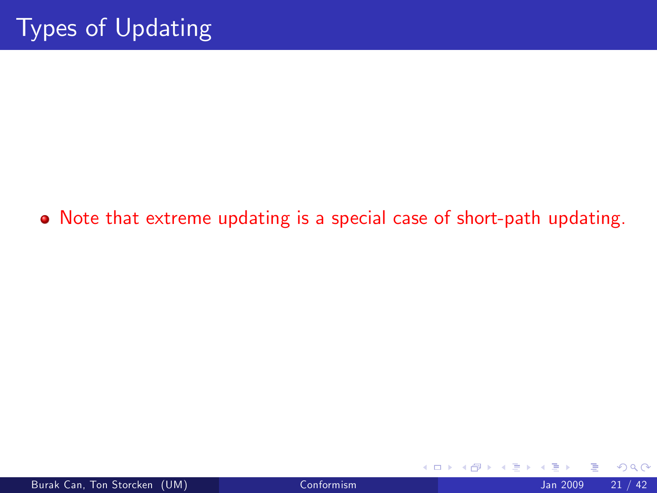#### Note that extreme updating is a special case of short-path updating.

4 0 8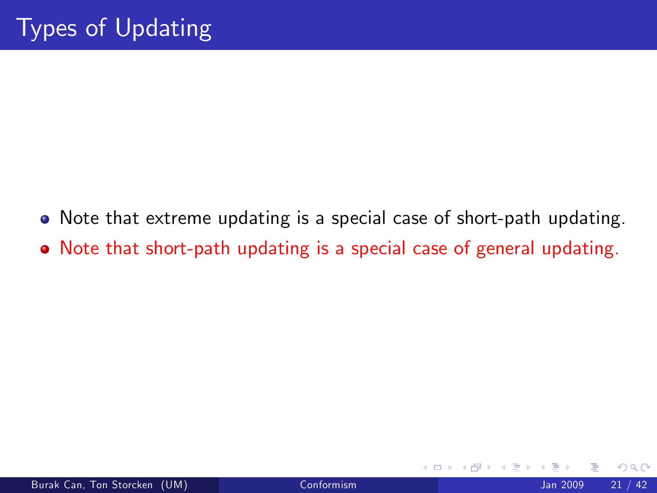- Note that extreme updating is a special case of short-path updating.
- Note that short-path updating is a special case of general updating.

 $\leftarrow$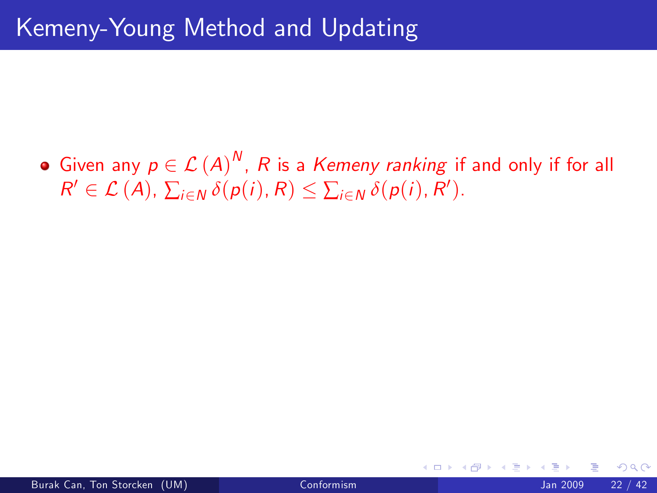Given any  $p \in {\mathcal{L}}(A)^N$ , R is a Kemeny ranking if and only if for all  $R' \in \mathcal{L}(A), \sum_{i \in \mathbb{N}} \delta(p(i), R) \leq \sum_{i \in \mathbb{N}} \delta(p(i), R').$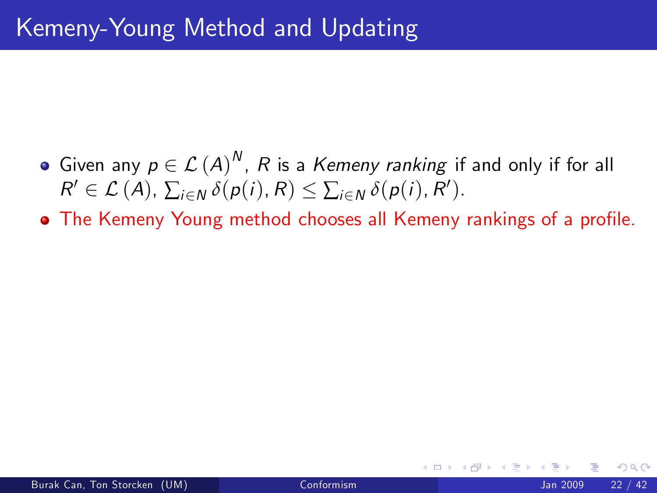- Given any  $p \in {\mathcal{L}}(A)^N$ , R is a Kemeny ranking if and only if for all  $R' \in \mathcal{L}(A), \sum_{i \in \mathbb{N}} \delta(p(i), R) \leq \sum_{i \in \mathbb{N}} \delta(p(i), R').$
- The Kemeny Young method chooses all Kemeny rankings of a profile.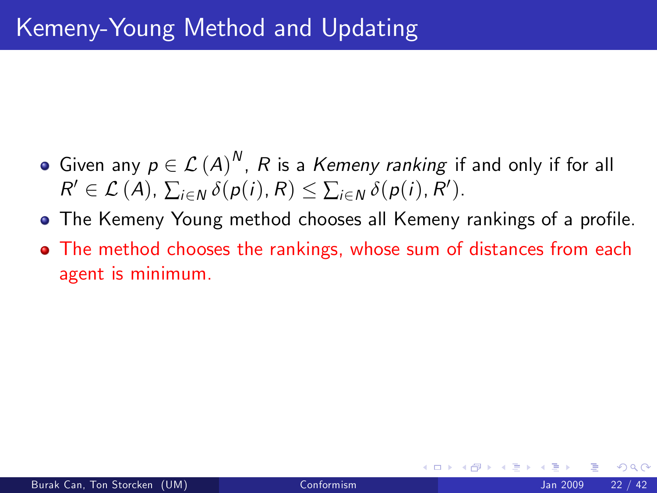- Given any  $p \in {\mathcal{L}}(A)^N$ , R is a Kemeny ranking if and only if for all  $R' \in \mathcal{L}(A), \sum_{i \in \mathbb{N}} \delta(p(i), R) \leq \sum_{i \in \mathbb{N}} \delta(p(i), R').$
- The Kemeny Young method chooses all Kemeny rankings of a profile.
- The method chooses the rankings, whose sum of distances from each agent is minimum.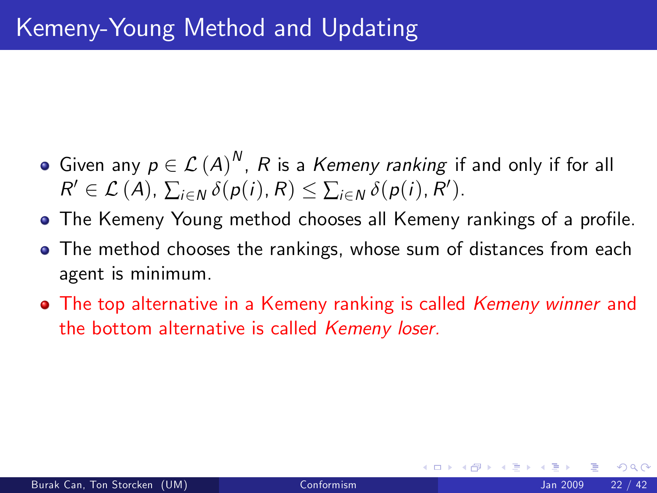- Given any  $p \in {\mathcal{L}}(A)^N$ , R is a Kemeny ranking if and only if for all  $R' \in \mathcal{L}(A), \sum_{i \in \mathbb{N}} \delta(p(i), R) \leq \sum_{i \in \mathbb{N}} \delta(p(i), R').$
- The Kemeny Young method chooses all Kemeny rankings of a profile.
- The method chooses the rankings, whose sum of distances from each agent is minimum.
- The top alternative in a Kemeny ranking is called Kemeny winner and the bottom alternative is called Kemeny loser.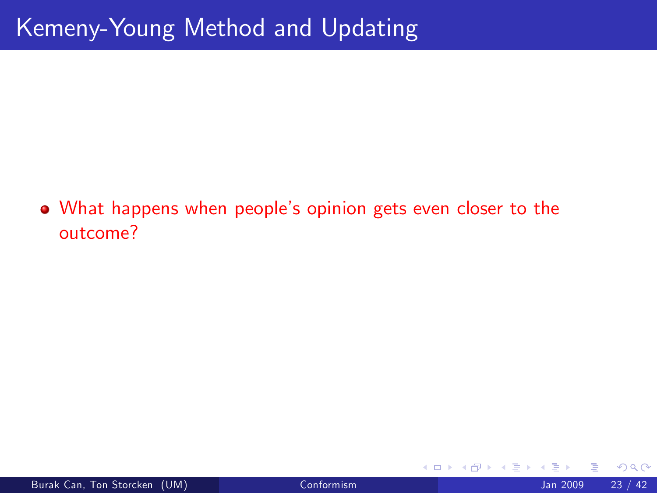• What happens when people's opinion gets even closer to the outcome?

4 0 8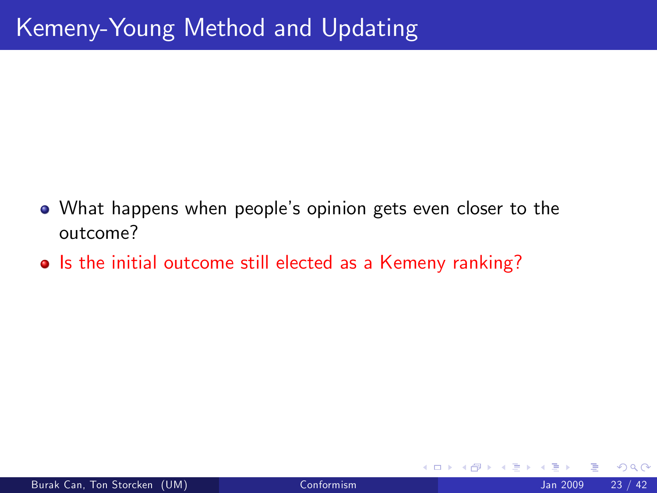- What happens when people's opinion gets even closer to the outcome?
- Is the initial outcome still elected as a Kemeny ranking?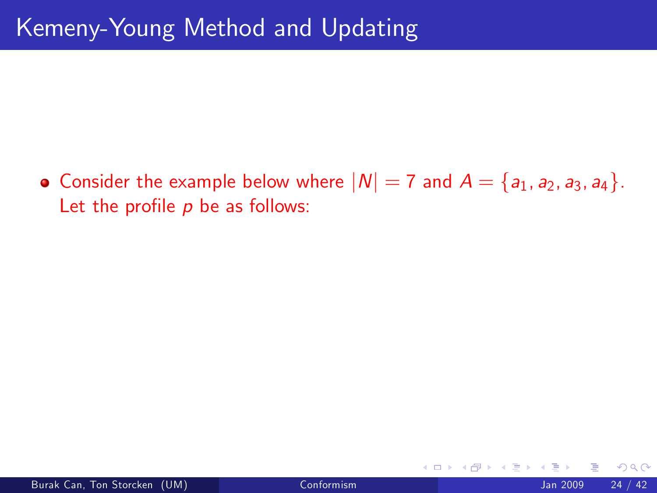• Consider the example below where  $|N|=7$  and  $A = \{a_1, a_2, a_3, a_4\}.$ Let the profile  $p$  be as follows:

4 0 8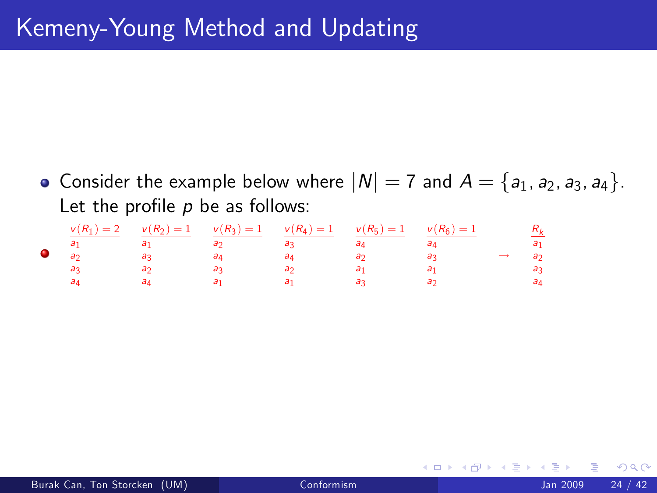• Consider the example below where  $|N|=7$  and  $A = \{a_1, a_2, a_3, a_4\}.$ Let the profile  $p$  be as follows:

|                |     |     | $v(R_1) = 2$ $v(R_2) = 1$ $v(R_3) = 1$ $v(R_4) = 1$ $v(R_5) = 1$ $v(R_6) = 1$ |    |  | $R_k$          |
|----------------|-----|-----|-------------------------------------------------------------------------------|----|--|----------------|
| đ٦             | a1. | d") |                                                                               | aл |  | $a_1$          |
| a <sub>2</sub> | aз  | aл  |                                                                               | a2 |  | a <sub>2</sub> |
| aз             | an  | аx  |                                                                               |    |  | a <sub>3</sub> |
| aл             | ал  |     |                                                                               |    |  | $a_4$          |

 $\leftarrow$   $\Box$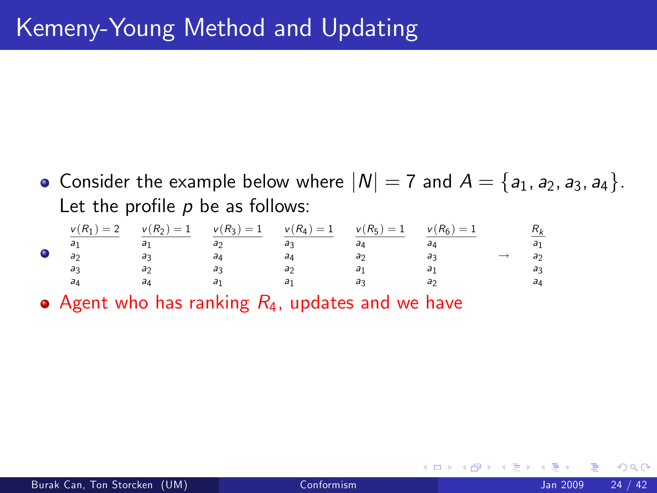• Consider the example below where  $|N|=7$  and  $A = \{a_1, a_2, a_3, a_4\}$ . Let the profile  $p$  be as follows:

|           |                | $v(R_1) = 2$ $v(R_2) = 1$ $v(R_3) = 1$ $v(R_4) = 1$ $v(R_5) = 1$ $v(R_6) = 1$ |                |                |    | $\frac{R_k}{R}$ |
|-----------|----------------|-------------------------------------------------------------------------------|----------------|----------------|----|-----------------|
|           |                | a <sub>1</sub>                                                                | a <sub>2</sub> | aл             |    | a <sub>1</sub>  |
| $\bullet$ | a <sub>2</sub> | a3                                                                            | aд             | a <sub>2</sub> | aз | a <sub>2</sub>  |
|           | a٦             | a <sub>2</sub>                                                                | a2             |                |    | $a_3$           |
|           | aл             | aл                                                                            | a <sub>1</sub> | a2             |    | aд              |

• Agent who has ranking  $R_4$ , updates and we have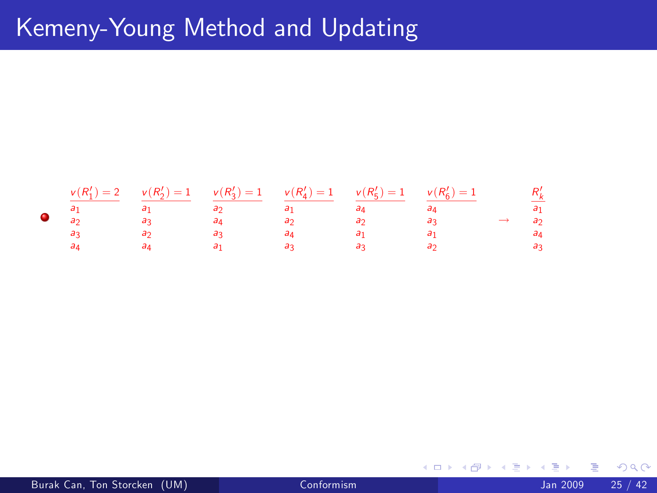

医电影子

4 0 8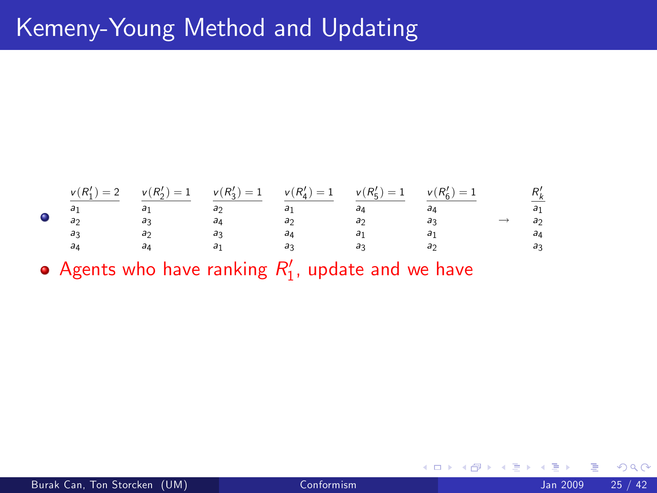|           |  | $v(R'_1) = 2$ $v(R'_2) = 1$ $v(R'_3) = 1$ $v(R'_4) = 1$ $v(R'_5) = 1$ $v(R'_6) = 1$ |  | $rac{R'_k}{\sqrt{2}}$ |
|-----------|--|-------------------------------------------------------------------------------------|--|-----------------------|
| $\bullet$ |  |                                                                                     |  | a <sub>1</sub>        |
|           |  |                                                                                     |  | an                    |
|           |  |                                                                                     |  | $a_4$                 |
|           |  |                                                                                     |  |                       |

Agents who have ranking  $R_1^\prime$ , update and we have

4 0 8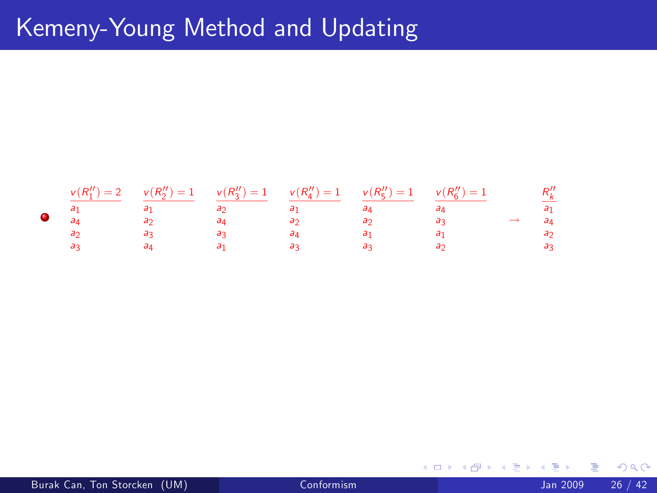

4 0 8

 $\rightarrow$ 化重 的人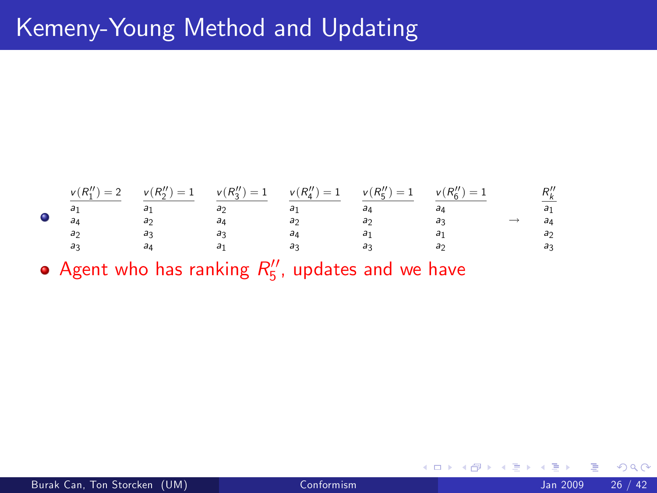|  |                |  | $v(R''_1) = 2$ $v(R''_2) = 1$ $v(R''_3) = 1$ $v(R''_4) = 1$ $v(R''_5) = 1$ $v(R''_6) = 1$ |  | $R_k''$        |
|--|----------------|--|-------------------------------------------------------------------------------------------|--|----------------|
|  |                |  |                                                                                           |  | a <sub>1</sub> |
|  | a <sub>2</sub> |  |                                                                                           |  | a <sub>4</sub> |
|  |                |  |                                                                                           |  | a <sub>2</sub> |
|  |                |  |                                                                                           |  |                |

Agent who has ranking  $R_5^{\prime\prime}$ , updates and we have

4 0 8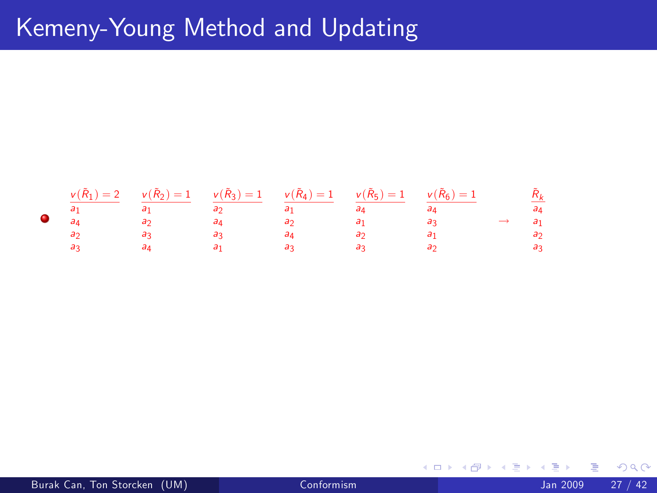

4 0 8

 $\rightarrow$ E K -41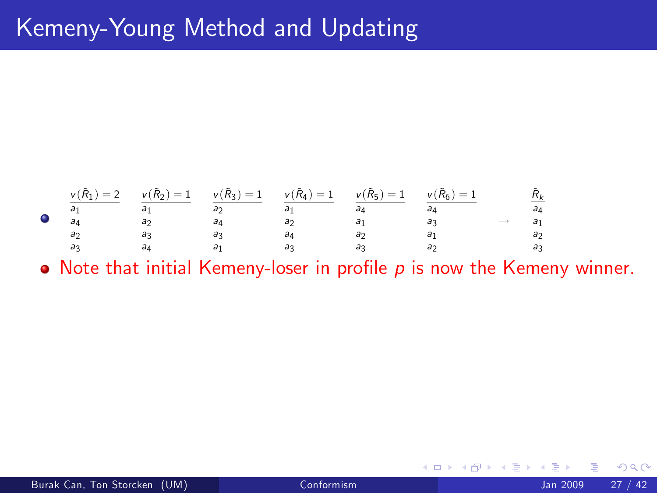|           |                |                |                | $v(\tilde{R}_1) = 2$ $v(\tilde{R}_2) = 1$ $v(\tilde{R}_3) = 1$ $v(\tilde{R}_4) = 1$ $v(\tilde{R}_5) = 1$ $v(\tilde{R}_6) = 1$ |                |    | $R_k$          |
|-----------|----------------|----------------|----------------|-------------------------------------------------------------------------------------------------------------------------------|----------------|----|----------------|
|           |                |                | a <sub>2</sub> |                                                                                                                               | aл             |    | ад             |
| $\bullet$ | a <sub>A</sub> | a <sub>2</sub> | aд             | a,                                                                                                                            | a <sub>1</sub> | a2 | a <sub>1</sub> |
|           | a,             |                | aз             | a <sub>A</sub>                                                                                                                |                |    | a <sub>2</sub> |
|           | aэ             | aл             | a.             | a,                                                                                                                            | aэ             |    | aэ             |

 $\bullet$  Note that initial Kemeny-loser in profile  $p$  is now the Kemeny winner.

4 0 8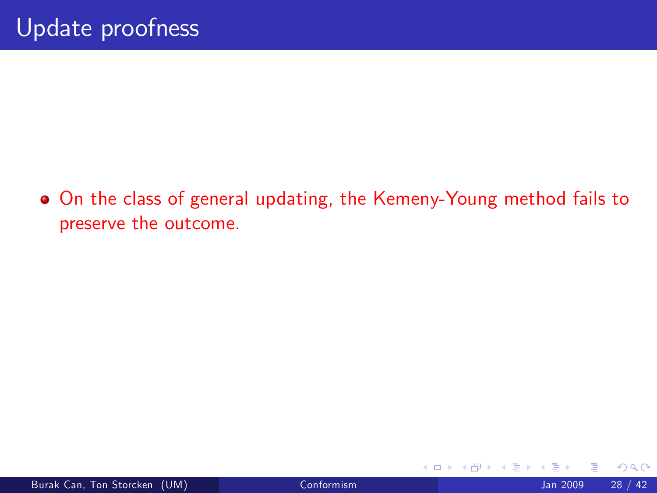On the class of general updating, the Kemeny-Young method fails to preserve the outcome.

4 0 8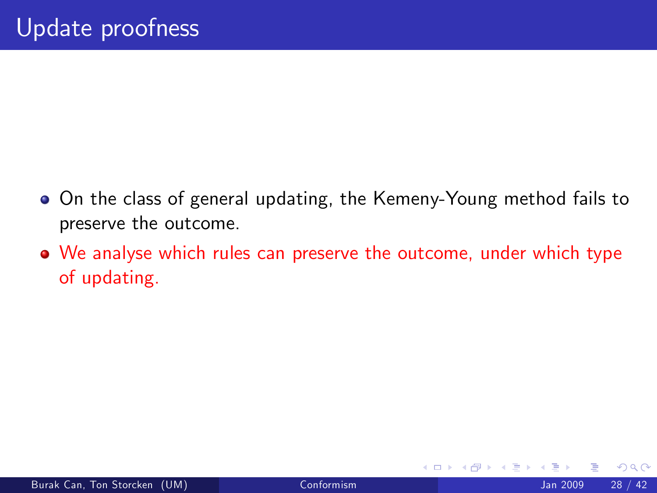- On the class of general updating, the Kemeny-Young method fails to preserve the outcome.
- We analyse which rules can preserve the outcome, under which type of updating.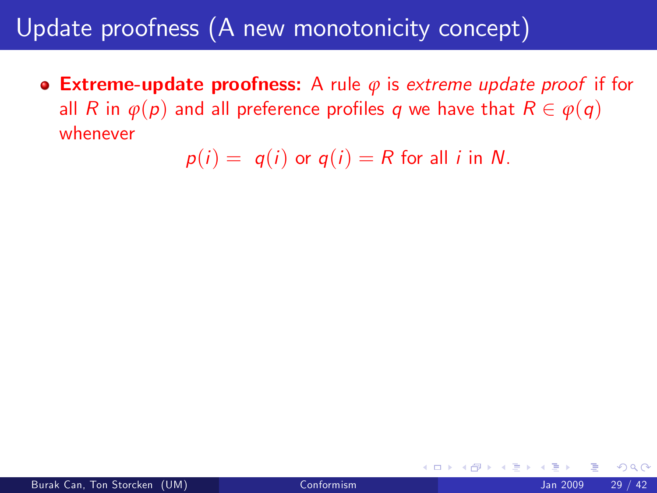## Update proofness (A new monotonicity concept)

Extreme-update proofness: A rule *ϕ* is extreme update proof if for all R in  $\varphi(p)$  and all preference profiles q we have that  $R \in \varphi(q)$ whenever

 $p(i) = q(i)$  or  $q(i) = R$  for all *i* in N.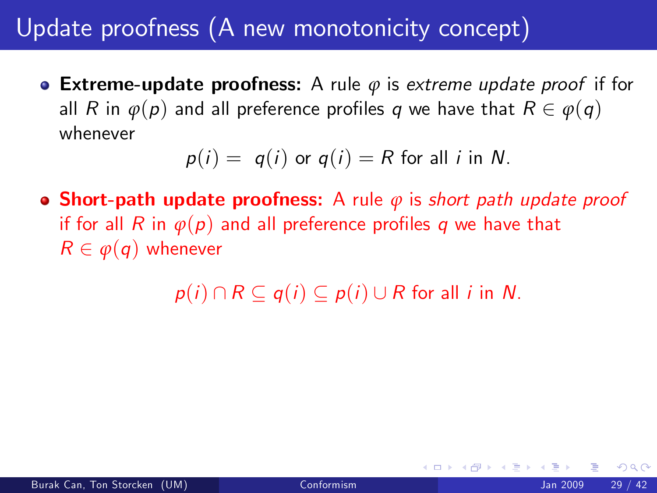## Update proofness (A new monotonicity concept)

Extreme-update proofness: A rule *ϕ* is extreme update proof if for all R in  $\varphi(p)$  and all preference profiles q we have that  $R \in \varphi(q)$ whenever

$$
p(i) = q(i) \text{ or } q(i) = R \text{ for all } i \text{ in } N.
$$

• **Short-path update proofness:** A rule *φ* is *short path update proof* if for all R in  $\varphi(p)$  and all preference profiles q we have that  $R \in \varphi(q)$  whenever

 $p(i) \cap R \subseteq q(i) \subseteq p(i) \cup R$  for all *i* in N.

つひひ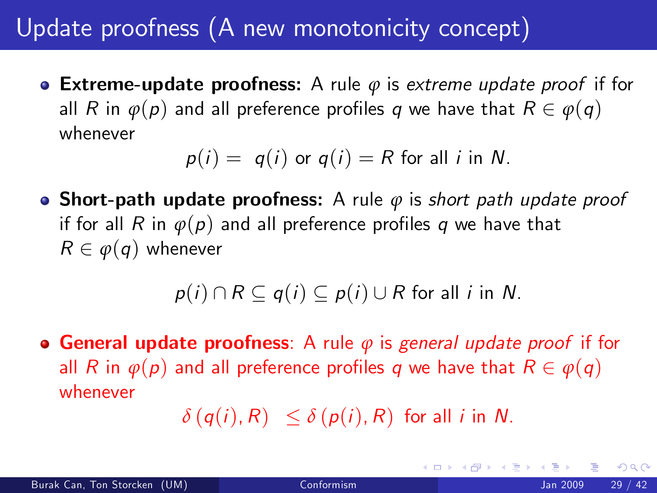## Update proofness (A new monotonicity concept)

Extreme-update proofness: A rule *ϕ* is extreme update proof if for all R in  $\varphi(p)$  and all preference profiles q we have that  $R \in \varphi(q)$ whenever

$$
p(i) = q(i) \text{ or } q(i) = R \text{ for all } i \text{ in } N.
$$

**• Short-path update proofness:** A rule  $\varphi$  is short path update proof if for all R in  $\varphi(p)$  and all preference profiles q we have that  $R \in \varphi(q)$  whenever

$$
p(i) \cap R \subseteq q(i) \subseteq p(i) \cup R \text{ for all } i \text{ in } N.
$$

**• General update proofness**: A rule  $\varphi$  is general update proof if for all R in  $\varphi(p)$  and all preference profiles q we have that  $R \in \varphi(q)$ whenever

$$
\delta(q(i), R) \leq \delta(p(i), R) \text{ for all } i \text{ in } N.
$$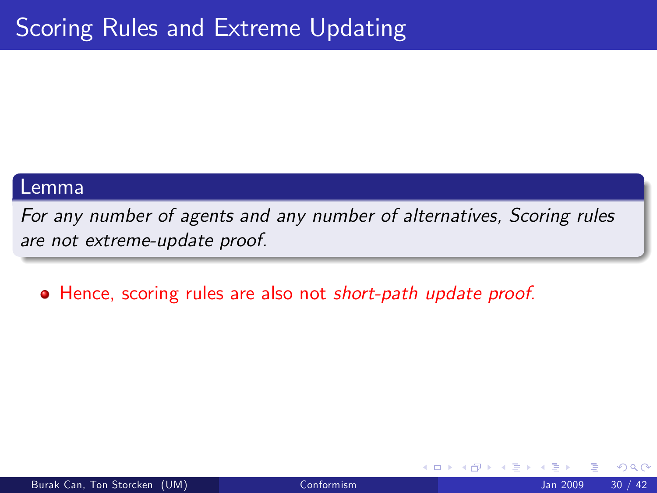For any number of agents and any number of alternatives, Scoring rules are not extreme-update proof.

• Hence, scoring rules are also not short-path update proof.

4 0 8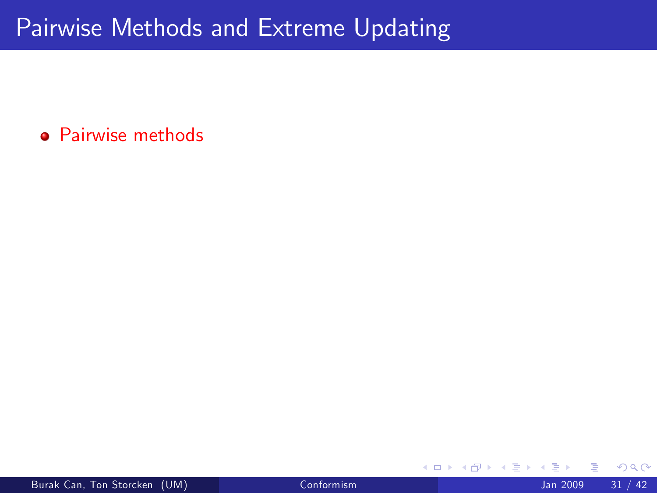4 0 8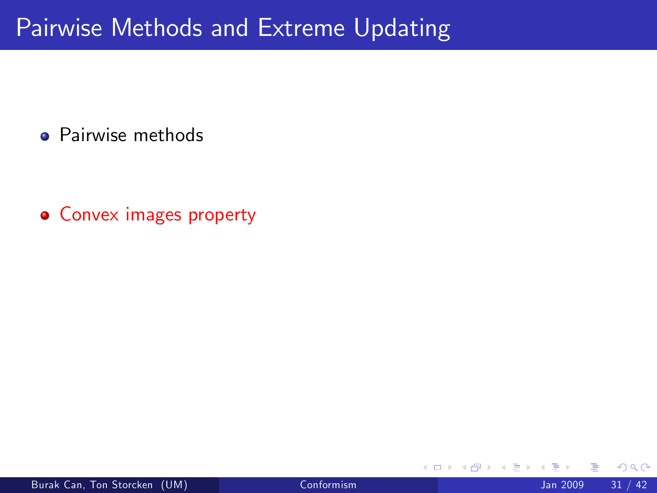• Convex images property

4 0 8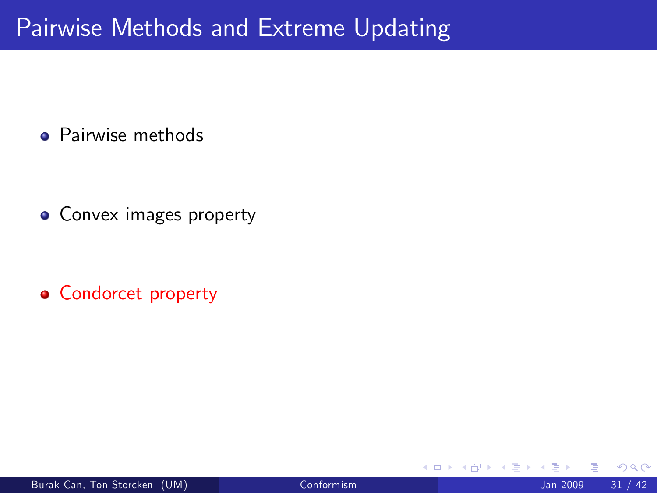• Convex images property

Condorcet property

 $\leftarrow$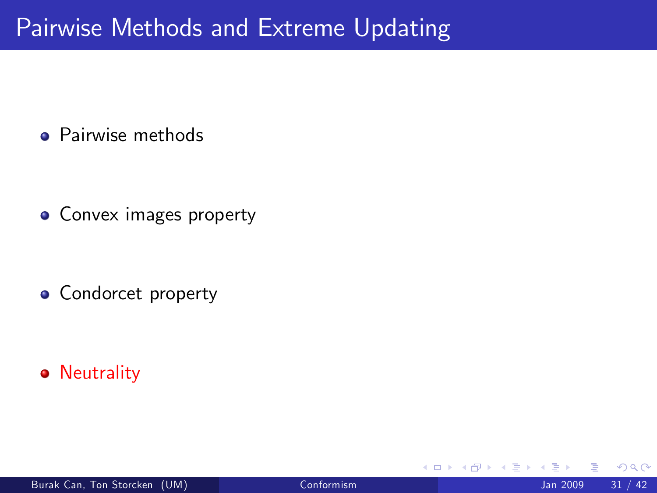• Convex images property

• Condorcet property

**• Neutrality** 

 $\leftarrow$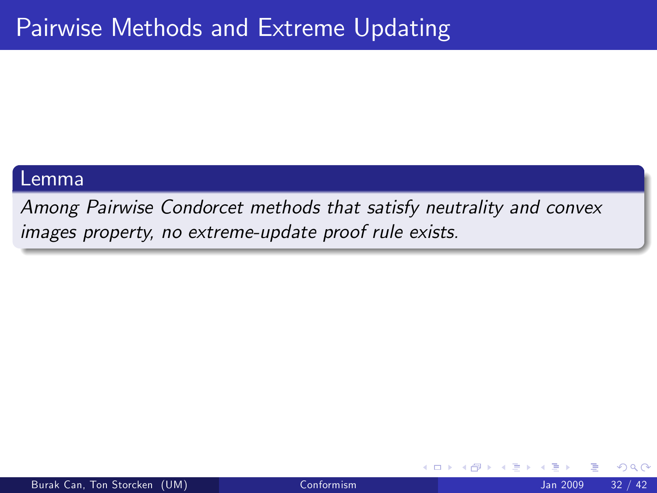Among Pairwise Condorcet methods that satisfy neutrality and convex images property, no extreme-update proof rule exists.

4 0 8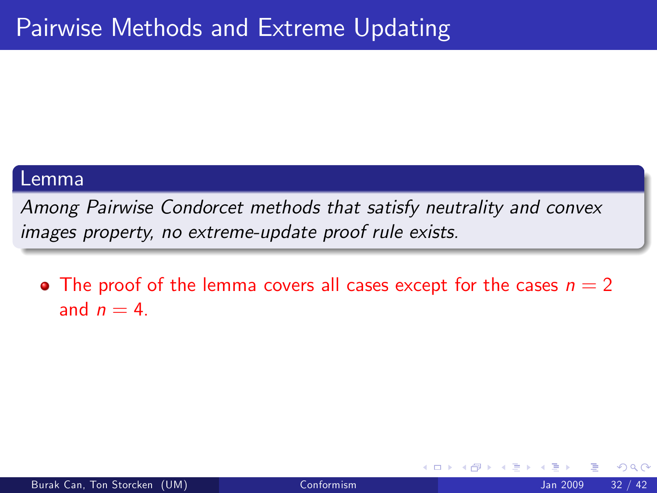Among Pairwise Condorcet methods that satisfy neutrality and convex images property, no extreme-update proof rule exists.

• The proof of the lemma covers all cases except for the cases  $n = 2$ and  $n = 4$ .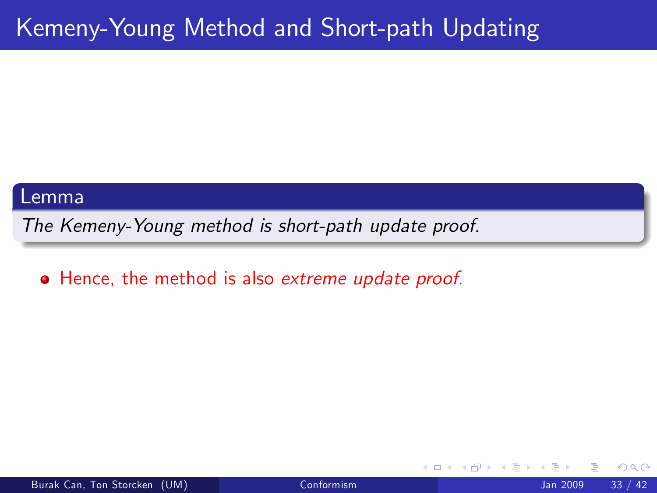The Kemeny-Young method is short-path update proof.

• Hence, the method is also extreme update proof.

4 0 8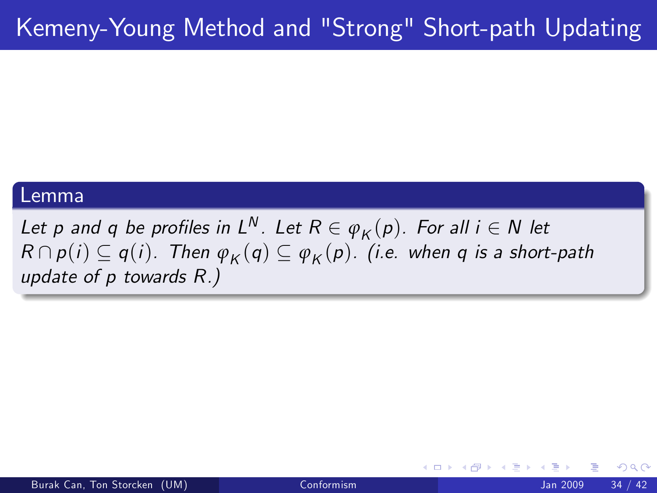Let p and q be profiles in  $L^N$ . Let  $R \in \varphi_K(p)$ . For all  $i \in N$  let  $R \cap p(i) \subseteq q(i)$ . Then  $\varphi_K(q) \subseteq \varphi_K(p)$ . (i.e. when q is a short-path update of p towards R.)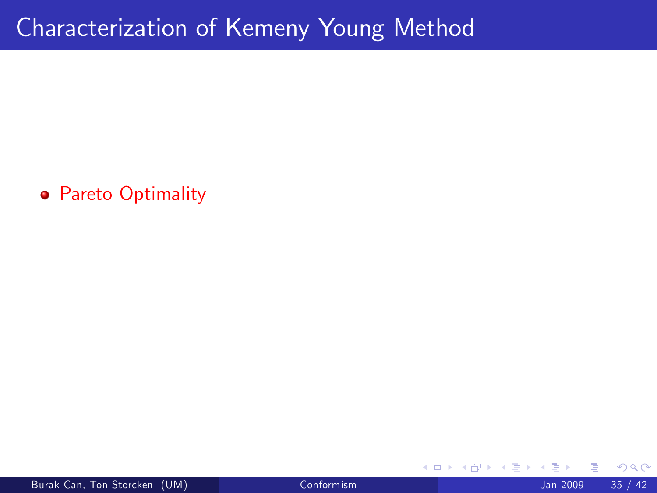## Characterization of Kemeny Young Method

**• Pareto Optimality** 

4 0 8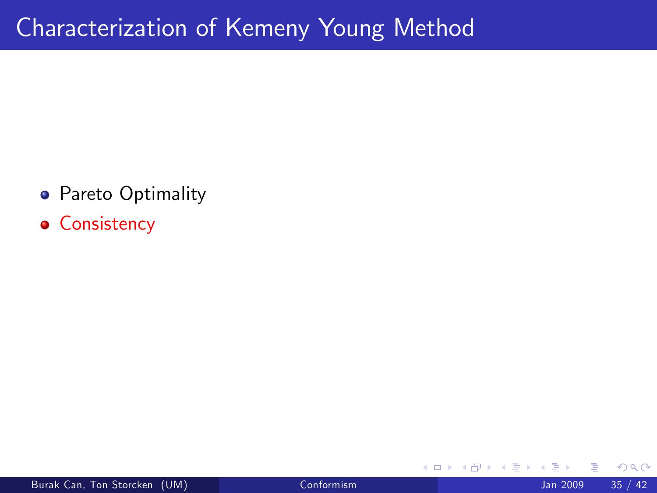- **•** Pareto Optimality
- **Consistency**

 $QQ$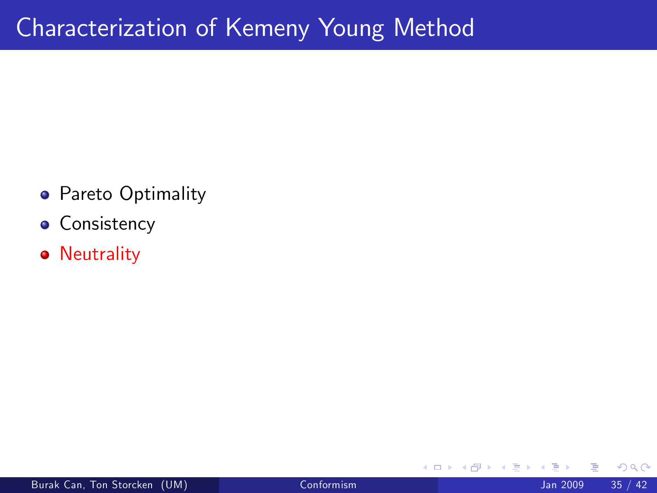- **•** Pareto Optimality
- **•** Consistency
- **•** Neutrality

 $QQ$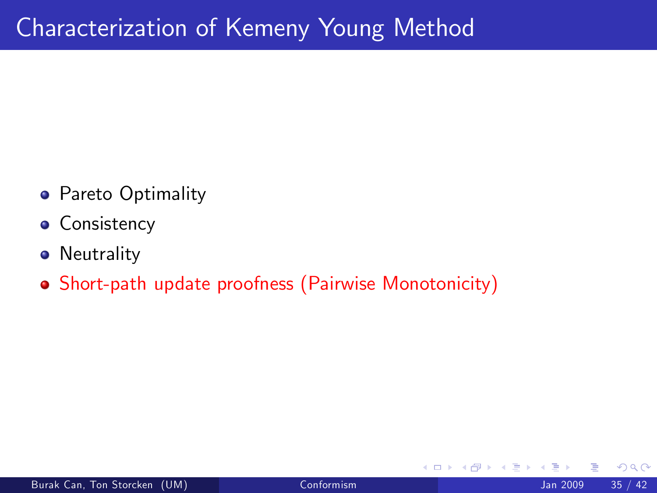- **•** Pareto Optimality
- **Consistency**
- **•** Neutrality
- Short-path update proofness (Pairwise Monotonicity)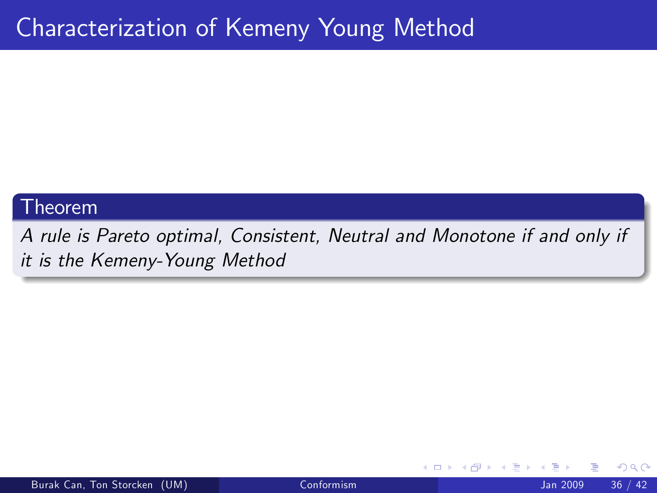### Theorem

A rule is Pareto optimal, Consistent, Neutral and Monotone if and only if it is the Kemeny-Young Method

4 0 8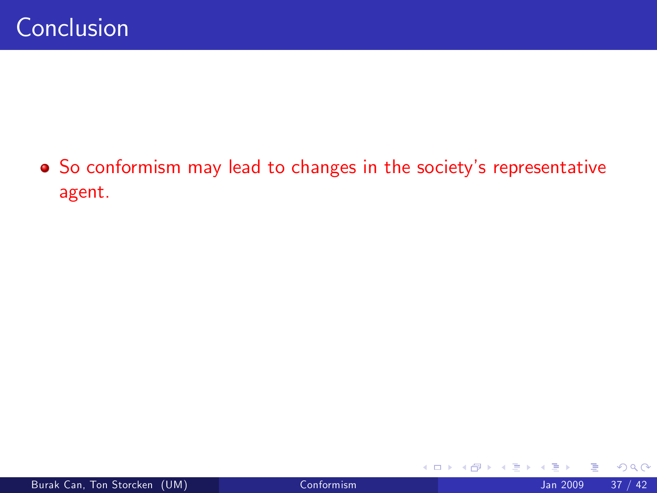• So conformism may lead to changes in the society's representative agent.

4 日下

 $\rightarrow$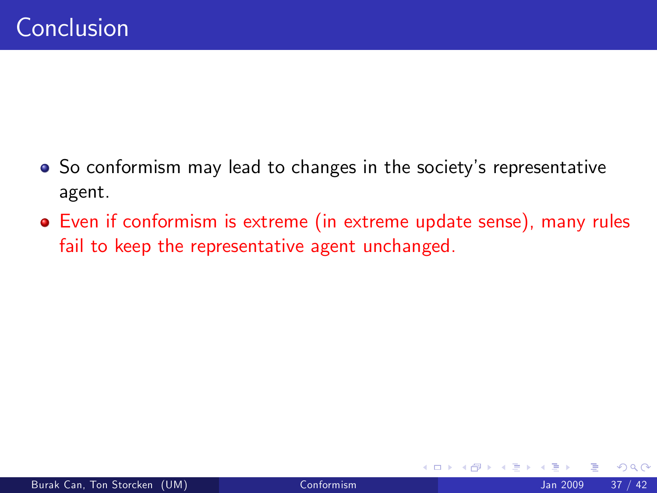- So conformism may lead to changes in the society's representative agent.
- Even if conformism is extreme (in extreme update sense), many rules fail to keep the representative agent unchanged.

4 0 8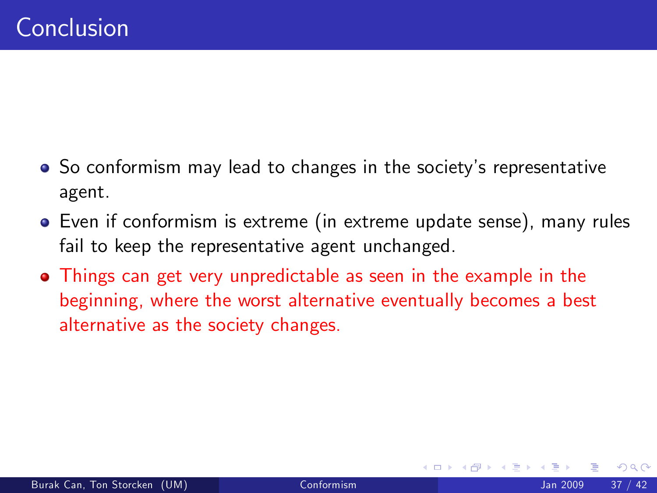- So conformism may lead to changes in the society's representative agent.
- Even if conformism is extreme (in extreme update sense), many rules fail to keep the representative agent unchanged.
- Things can get very unpredictable as seen in the example in the beginning, where the worst alternative eventually becomes a best alternative as the society changes.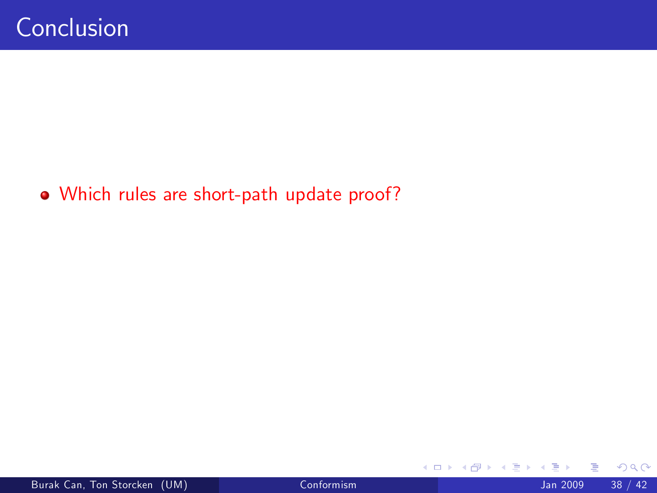Which rules are short-path update proof?

 $\leftarrow$   $\Box$ 

×

- 6

э.  $\rightarrow$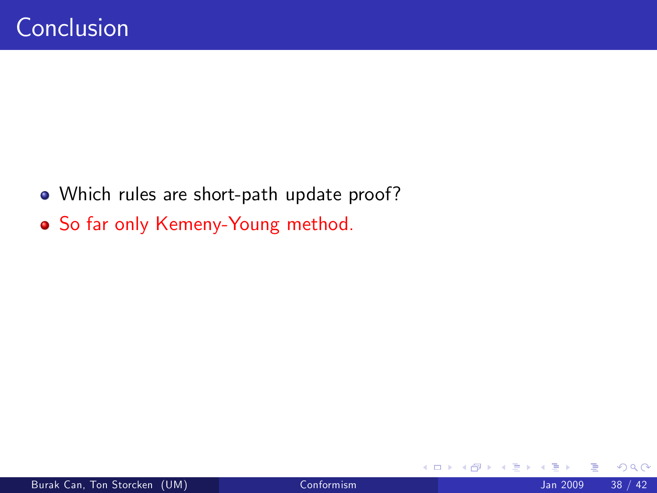- Which rules are short-path update proof?
- So far only Kemeny-Young method.

4 0 8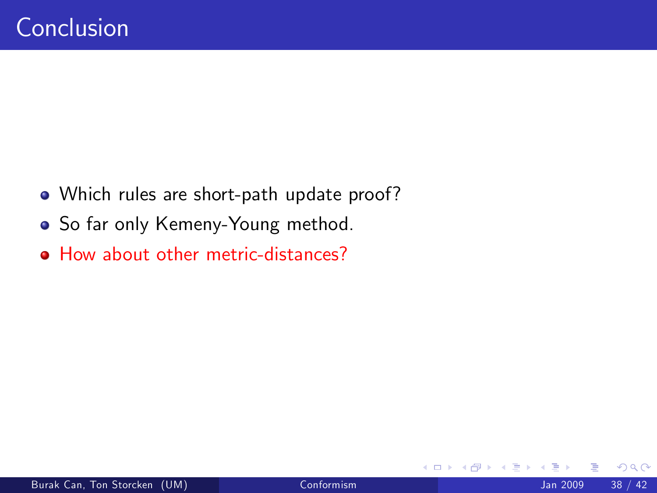- Which rules are short-path update proof?
- So far only Kemeny-Young method.
- How about other metric-distances?

4 0 8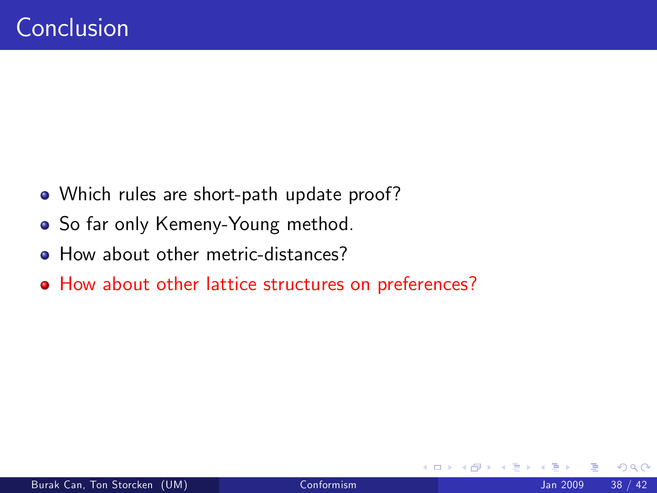- Which rules are short-path update proof?
- So far only Kemeny-Young method.
- How about other metric-distances?
- How about other lattice structures on preferences?

 $\leftarrow$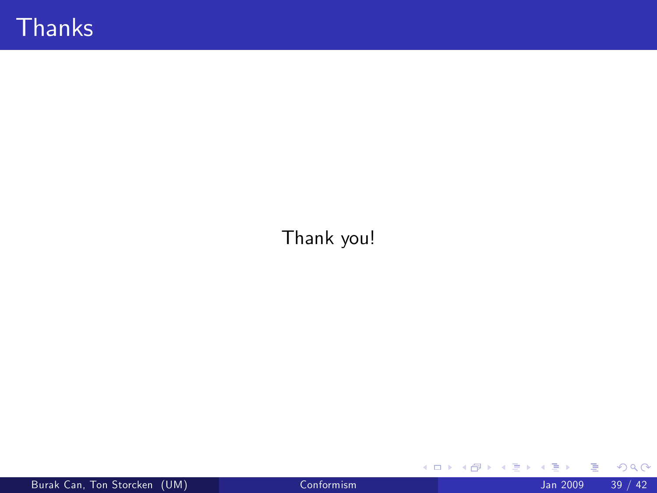Thank you!

Þ GH 1911 ×

**K ロ ト K 伊 ト K**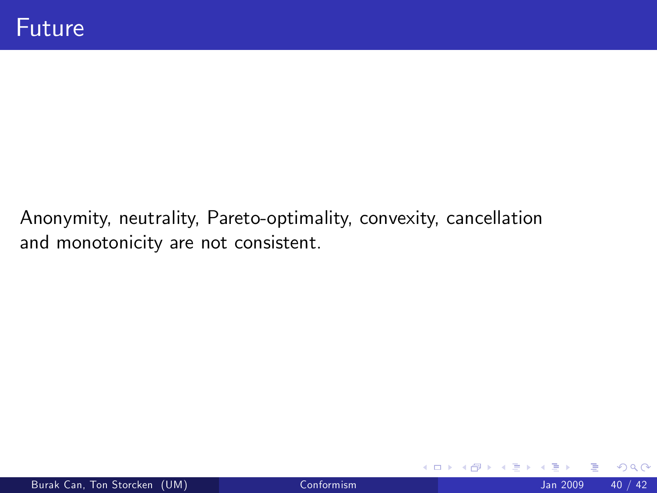Anonymity, neutrality, Pareto-optimality, convexity, cancellation and monotonicity are not consistent.

4 0 8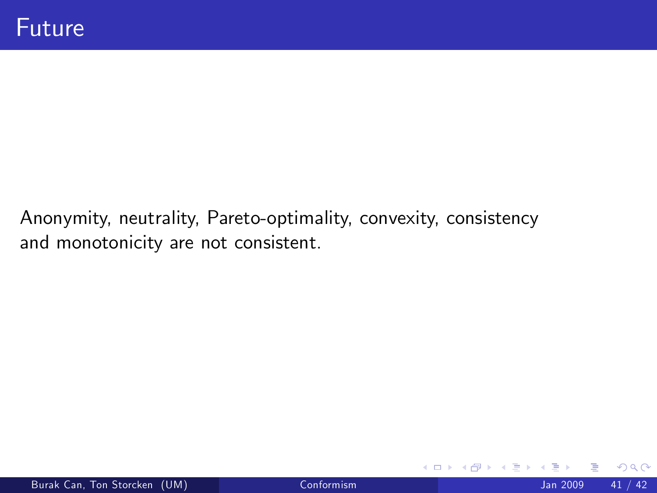Anonymity, neutrality, Pareto-optimality, convexity, consistency and monotonicity are not consistent.

4 0 8